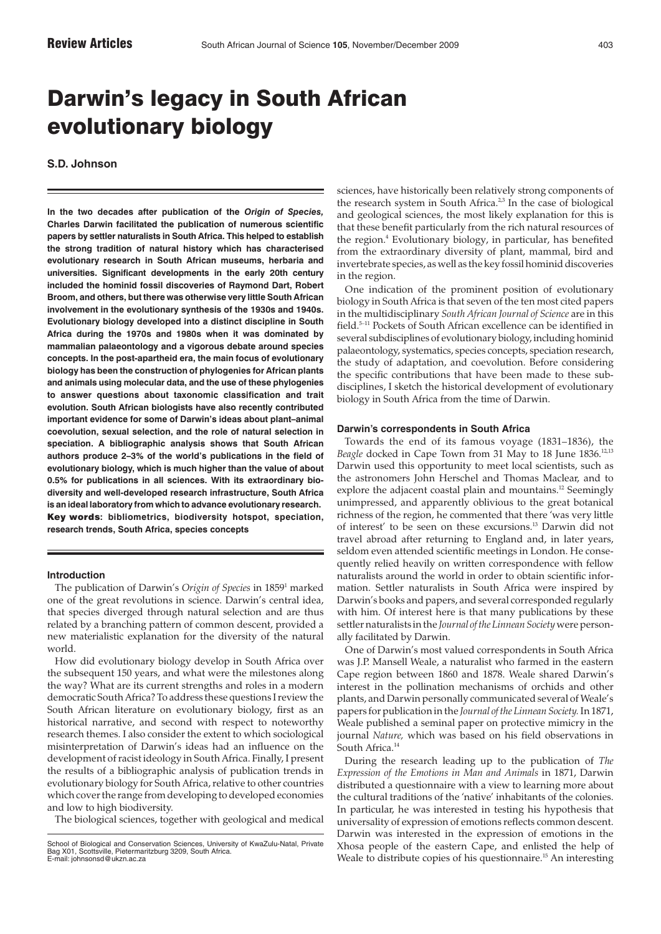# Darwin's legacy in South African evolutionary biology

**S.D. Johnson**

**In the two decades after publication of the** *Origin of Species,* **Charles Darwin facilitated the publication of numerous scientific papers by settler naturalists in South Africa. This helped to establish the strong tradition of natural history which has characterised evolutionary research in South African museums, herbaria and universities. Significant developments in the early 20th century included the hominid fossil discoveries of Raymond Dart, Robert Broom, and others, but there was otherwise very little South African involvement in the evolutionary synthesis of the 1930s and 1940s. Evolutionary biology developed into a distinct discipline in South Africa during the 1970s and 1980s when it was dominated by mammalian palaeontology and a vigorous debate around species concepts. In the post-apartheid era, the main focus of evolutionary biology has been the construction of phylogenies for African plants and animals using molecular data, and the use of these phylogenies to answer questions about taxonomic classification and trait evolution. South African biologists have also recently contributed important evidence for some of Darwin's ideas about plant–animal coevolution, sexual selection, and the role of natural selection in speciation. A bibliographic analysis shows that South African authors produce 2–3% of the world's publications in the field of evolutionary biology, which is much higher than the value of about 0.5% for publications in all sciences. With its extraordinary biodiversity and well-developed research infrastructure, South Africa is an ideal laboratory from which to advance evolutionary research.** Key words**: bibliometrics, biodiversity hotspot, speciation, research trends, South Africa, species concepts**

# **Introduction**

The publication of Darwin's *Origin of Species* in 18591 marked one of the great revolutions in science. Darwin's central idea, that species diverged through natural selection and are thus related by a branching pattern of common descent, provided a new materialistic explanation for the diversity of the natural world.

How did evolutionary biology develop in South Africa over the subsequent 150 years, and what were the milestones along the way? What are its current strengths and roles in a modern democratic South Africa? To address these questions I review the South African literature on evolutionary biology, first as an historical narrative, and second with respect to noteworthy research themes. I also consider the extent to which sociological misinterpretation of Darwin's ideas had an influence on the development of racist ideology in South Africa. Finally, I present the results of a bibliographic analysis of publication trends in evolutionary biology for South Africa, relative to other countries which cover the range from developing to developed economies and low to high biodiversity.

The biological sciences, together with geological and medical

sciences, have historically been relatively strong components of the research system in South Africa.<sup>2,3</sup> In the case of biological and geological sciences, the most likely explanation for this is that these benefit particularly from the rich natural resources of the region.4 Evolutionary biology, in particular, has benefited from the extraordinary diversity of plant, mammal, bird and invertebrate species, as well as the key fossil hominid discoveries in the region.

One indication of the prominent position of evolutionary biology in South Africa is that seven of the ten most cited papers in the multidisciplinary *South African Journal of Science* are in this field.<sup>5–11</sup> Pockets of South African excellence can be identified in several subdisciplines of evolutionary biology, including hominid palaeontology, systematics, species concepts, speciation research, the study of adaptation, and coevolution. Before considering the specific contributions that have been made to these subdisciplines, I sketch the historical development of evolutionary biology in South Africa from the time of Darwin.

# **Darwin's correspondents in South Africa**

Towards the end of its famous voyage (1831–1836), the *Beagle* docked in Cape Town from 31 May to 18 June 1836.<sup>12,13</sup> Darwin used this opportunity to meet local scientists, such as the astronomers John Herschel and Thomas Maclear, and to explore the adjacent coastal plain and mountains.<sup>12</sup> Seemingly unimpressed, and apparently oblivious to the great botanical richness of the region, he commented that there 'was very little of interest' to be seen on these excursions.13 Darwin did not travel abroad after returning to England and, in later years, seldom even attended scientific meetings in London. He consequently relied heavily on written correspondence with fellow naturalists around the world in order to obtain scientific information. Settler naturalists in South Africa were inspired by Darwin's books and papers, and several corresponded regularly with him. Of interest here is that many publications by these settler naturalists in the *Journal of the Linnean Society* were personally facilitated by Darwin.

One of Darwin's most valued correspondents in South Africa was J.P. Mansell Weale, a naturalist who farmed in the eastern Cape region between 1860 and 1878. Weale shared Darwin's interest in the pollination mechanisms of orchids and other plants, and Darwin personally communicated several of Weale's papers for publication in the *Journal of the Linnean Society.*In 1871, Weale published a seminal paper on protective mimicry in the journal *Nature,* which was based on his field observations in South Africa.<sup>14</sup>

During the research leading up to the publication of *The Expression of the Emotions in Man and Animals* in 1871, Darwin distributed a questionnaire with a view to learning more about the cultural traditions of the 'native' inhabitants of the colonies. In particular, he was interested in testing his hypothesis that universality of expression of emotions reflects common descent. Darwin was interested in the expression of emotions in the Xhosa people of the eastern Cape, and enlisted the help of Weale to distribute copies of his questionnaire.<sup>15</sup> An interesting

School of Biological and Conservation Sciences, University of KwaZulu-Natal, Private Bag X01, Scottsville, Pietermaritzburg 3209, South Africa. E-mail: johnsonsd@ukzn.ac.za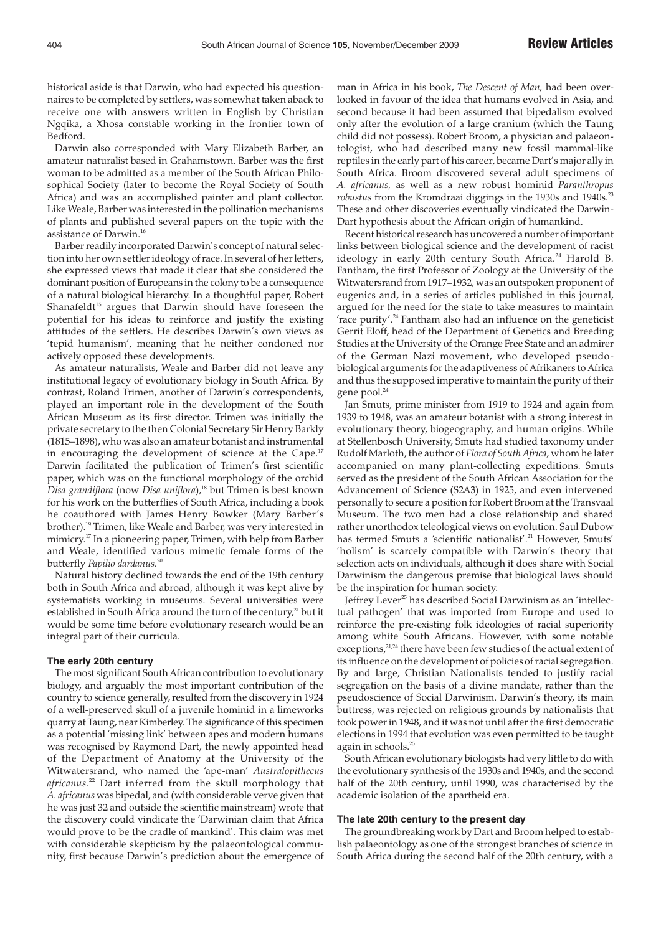historical aside is that Darwin, who had expected his questionnaires to be completed by settlers, was somewhat taken aback to receive one with answers written in English by Christian Ngqika, a Xhosa constable working in the frontier town of Bedford.

Darwin also corresponded with Mary Elizabeth Barber, an amateur naturalist based in Grahamstown. Barber was the first woman to be admitted as a member of the South African Philosophical Society (later to become the Royal Society of South Africa) and was an accomplished painter and plant collector. Like Weale, Barber was interested in the pollination mechanisms of plants and published several papers on the topic with the assistance of Darwin.<sup>16</sup>

Barber readily incorporated Darwin's concept of natural selection into her own settler ideology of race. In several of her letters, she expressed views that made it clear that she considered the dominant position of Europeans in the colony to be a consequence of a natural biological hierarchy. In a thoughtful paper, Robert Shanafeldt<sup>15</sup> argues that Darwin should have foreseen the potential for his ideas to reinforce and justify the existing attitudes of the settlers. He describes Darwin's own views as 'tepid humanism', meaning that he neither condoned nor actively opposed these developments.

As amateur naturalists, Weale and Barber did not leave any institutional legacy of evolutionary biology in South Africa. By contrast, Roland Trimen, another of Darwin's correspondents, played an important role in the development of the South African Museum as its first director. Trimen was initially the private secretary to the then Colonial Secretary Sir Henry Barkly (1815–1898), who was also an amateur botanist and instrumental in encouraging the development of science at the Cape.<sup>17</sup> Darwin facilitated the publication of Trimen's first scientific paper, which was on the functional morphology of the orchid *Disa grandiflora* (now *Disa uniflora*),<sup>18</sup> but Trimen is best known for his work on the butterflies of South Africa, including a book he coauthored with James Henry Bowker (Mary Barber's brother).19 Trimen, like Weale and Barber, was very interested in mimicry.17 In a pioneering paper, Trimen, with help from Barber and Weale, identified various mimetic female forms of the butterfly *Papilio dardanus.*<sup>20</sup>

Natural history declined towards the end of the 19th century both in South Africa and abroad, although it was kept alive by systematists working in museums. Several universities were established in South Africa around the turn of the century,<sup>21</sup> but it would be some time before evolutionary research would be an integral part of their curricula.

### **The early 20th century**

The most significant South African contribution to evolutionary biology, and arguably the most important contribution of the country to science generally, resulted from the discovery in 1924 of a well-preserved skull of a juvenile hominid in a limeworks quarry at Taung, near Kimberley. The significance of this specimen as a potential 'missing link' between apes and modern humans was recognised by Raymond Dart, the newly appointed head of the Department of Anatomy at the University of the Witwatersrand, who named the 'ape-man' *Australopithecus africanus.*<sup>22</sup> Dart inferred from the skull morphology that *A. africanus* was bipedal, and (with considerable verve given that he was just 32 and outside the scientific mainstream) wrote that the discovery could vindicate the 'Darwinian claim that Africa would prove to be the cradle of mankind'. This claim was met with considerable skepticism by the palaeontological community, first because Darwin's prediction about the emergence of man in Africa in his book, *The Descent of Man,* had been overlooked in favour of the idea that humans evolved in Asia, and second because it had been assumed that bipedalism evolved only after the evolution of a large cranium (which the Taung child did not possess). Robert Broom, a physician and palaeontologist, who had described many new fossil mammal-like reptiles in the early part of his career, became Dart's major ally in South Africa. Broom discovered several adult specimens of *A. africanus,* as well as a new robust hominid *Paranthropus robustus* from the Kromdraai diggings in the 1930s and 1940s.<sup>23</sup> These and other discoveries eventually vindicated the Darwin-Dart hypothesis about the African origin of humankind.

Recent historical research has uncovered a number of important links between biological science and the development of racist ideology in early 20th century South Africa.<sup>24</sup> Harold B. Fantham, the first Professor of Zoology at the University of the Witwatersrand from 1917–1932, was an outspoken proponent of eugenics and, in a series of articles published in this journal, argued for the need for the state to take measures to maintain 'race purity'.<sup>24</sup> Fantham also had an influence on the geneticist Gerrit Eloff, head of the Department of Genetics and Breeding Studies at the University of the Orange Free State and an admirer of the German Nazi movement, who developed pseudobiological arguments for the adaptiveness of Afrikaners to Africa and thus the supposed imperative to maintain the purity of their gene pool.<sup>24</sup>

Jan Smuts, prime minister from 1919 to 1924 and again from 1939 to 1948, was an amateur botanist with a strong interest in evolutionary theory, biogeography, and human origins. While at Stellenbosch University, Smuts had studied taxonomy under Rudolf Marloth, the author of *Flora of South Africa,* whom he later accompanied on many plant-collecting expeditions. Smuts served as the president of the South African Association for the Advancement of Science (S2A3) in 1925, and even intervened personally to secure a position for Robert Broom at the Transvaal Museum. The two men had a close relationship and shared rather unorthodox teleological views on evolution. Saul Dubow has termed Smuts a 'scientific nationalist'.<sup>21</sup> However, Smuts' 'holism' is scarcely compatible with Darwin's theory that selection acts on individuals, although it does share with Social Darwinism the dangerous premise that biological laws should be the inspiration for human society.

Jeffrey Lever<sup>25</sup> has described Social Darwinism as an 'intellectual pathogen' that was imported from Europe and used to reinforce the pre-existing folk ideologies of racial superiority among white South Africans. However, with some notable exceptions,<sup>21,24</sup> there have been few studies of the actual extent of its influence on the development of policies of racial segregation. By and large, Christian Nationalists tended to justify racial segregation on the basis of a divine mandate, rather than the pseudoscience of Social Darwinism. Darwin's theory, its main buttress, was rejected on religious grounds by nationalists that took power in 1948, and it was not until after the first democratic elections in 1994 that evolution was even permitted to be taught again in schools.<sup>25</sup>

South African evolutionary biologists had very little to do with the evolutionary synthesis of the 1930s and 1940s, and the second half of the 20th century, until 1990, was characterised by the academic isolation of the apartheid era.

# **The late 20th century to the present day**

The groundbreaking work by Dart and Broom helped to establish palaeontology as one of the strongest branches of science in South Africa during the second half of the 20th century, with a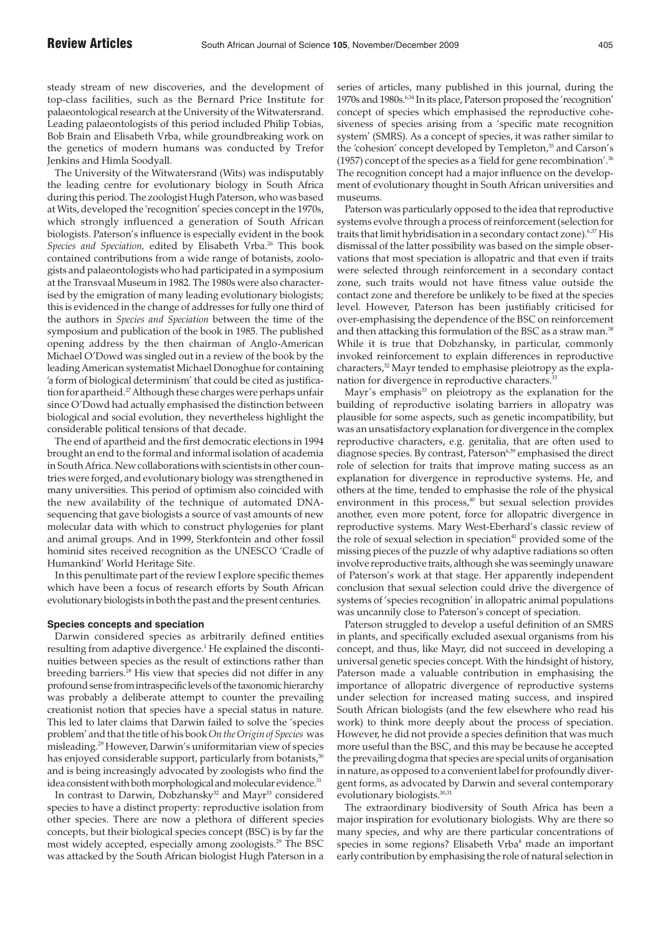steady stream of new discoveries, and the development of top-class facilities, such as the Bernard Price Institute for palaeontological research at the University of the Witwatersrand. Leading palaeontologists of this period included Philip Tobias, Bob Brain and Elisabeth Vrba, while groundbreaking work on the genetics of modern humans was conducted by Trefor Jenkins and Himla Soodyall.

The University of the Witwatersrand (Wits) was indisputably the leading centre for evolutionary biology in South Africa during this period. The zoologist Hugh Paterson, who was based at Wits, developed the 'recognition' species concept in the 1970s, which strongly influenced a generation of South African biologists. Paterson's influence is especially evident in the book Species and Speciation, edited by Elisabeth Vrba.<sup>26</sup> This book contained contributions from a wide range of botanists, zoologists and palaeontologists who had participated in a symposium at the Transvaal Museum in 1982. The 1980s were also characterised by the emigration of many leading evolutionary biologists; this is evidenced in the change of addresses for fully one third of the authors in *Species and Speciation* between the time of the symposium and publication of the book in 1985. The published opening address by the then chairman of Anglo-American Michael O'Dowd was singled out in a review of the book by the leading American systematist Michael Donoghue for containing 'a form of biological determinism' that could be cited as justification for apartheid.<sup>27</sup> Although these charges were perhaps unfair since O'Dowd had actually emphasised the distinction between biological and social evolution, they nevertheless highlight the considerable political tensions of that decade.

The end of apartheid and the first democratic elections in 1994 brought an end to the formal and informal isolation of academia in South Africa. New collaborations with scientists in other countries were forged, and evolutionary biology was strengthened in many universities. This period of optimism also coincided with the new availability of the technique of automated DNAsequencing that gave biologists a source of vast amounts of new molecular data with which to construct phylogenies for plant and animal groups. And in 1999, Sterkfontein and other fossil hominid sites received recognition as the UNESCO 'Cradle of Humankind' World Heritage Site.

In this penultimate part of the review I explore specific themes which have been a focus of research efforts by South African evolutionary biologists in both the past and the present centuries.

#### **Species concepts and speciation**

Darwin considered species as arbitrarily defined entities resulting from adaptive divergence.<sup>1</sup> He explained the discontinuities between species as the result of extinctions rather than breeding barriers.28 His view that species did not differ in any profound sense from intraspecific levels of the taxonomic hierarchy was probably a deliberate attempt to counter the prevailing creationist notion that species have a special status in nature. This led to later claims that Darwin failed to solve the 'species problem' and that the title of his book *On the Origin of Species* was misleading.29 However, Darwin's uniformitarian view of species has enjoyed considerable support, particularly from botanists,<sup>31</sup> and is being increasingly advocated by zoologists who find the idea consistent with both morphological and molecular evidence.<sup>31</sup>

In contrast to Darwin, Dobzhansky<sup>32</sup> and Mayr<sup>33</sup> considered species to have a distinct property: reproductive isolation from other species. There are now a plethora of different species concepts, but their biological species concept (BSC) is by far the most widely accepted, especially among zoologists.29 The BSC was attacked by the South African biologist Hugh Paterson in a

series of articles, many published in this journal, during the 1970s and 1980s.<sup>6,34</sup> In its place, Paterson proposed the 'recognition' concept of species which emphasised the reproductive cohesiveness of species arising from a 'specific mate recognition system' (SMRS). As a concept of species, it was rather similar to the 'cohesion' concept developed by Templeton,<sup>35</sup> and Carson's (1957) concept of the species as a 'field for gene recombination'.<sup>36</sup> The recognition concept had a major influence on the development of evolutionary thought in South African universities and museums.

Paterson was particularly opposed to the idea that reproductive systems evolve through a process of reinforcement (selection for traits that limit hybridisation in a secondary contact zone).<sup>6,37</sup> His dismissal of the latter possibility was based on the simple observations that most speciation is allopatric and that even if traits were selected through reinforcement in a secondary contact zone, such traits would not have fitness value outside the contact zone and therefore be unlikely to be fixed at the species level. However, Paterson has been justifiably criticised for over-emphasising the dependence of the BSC on reinforcement and then attacking this formulation of the BSC as a straw man.<sup>38</sup> While it is true that Dobzhansky, in particular, commonly invoked reinforcement to explain differences in reproductive characters,<sup>32</sup> Mayr tended to emphasise pleiotropy as the explanation for divergence in reproductive characters.<sup>33</sup>

Mayr's emphasis<sup>33</sup> on pleiotropy as the explanation for the building of reproductive isolating barriers in allopatry was plausible for some aspects, such as genetic incompatibility, but was an unsatisfactory explanation for divergence in the complex reproductive characters, e.g. genitalia, that are often used to diagnose species. By contrast, Paterson<sup>6,39</sup> emphasised the direct role of selection for traits that improve mating success as an explanation for divergence in reproductive systems. He, and others at the time, tended to emphasise the role of the physical environment in this process,<sup>40</sup> but sexual selection provides another, even more potent, force for allopatric divergence in reproductive systems. Mary West-Eberhard's classic review of the role of sexual selection in speciation<sup>41</sup> provided some of the missing pieces of the puzzle of why adaptive radiations so often involve reproductive traits, although she was seemingly unaware of Paterson's work at that stage. Her apparently independent conclusion that sexual selection could drive the divergence of systems of 'species recognition' in allopatric animal populations was uncannily close to Paterson's concept of speciation.

Paterson struggled to develop a useful definition of an SMRS in plants, and specifically excluded asexual organisms from his concept, and thus, like Mayr, did not succeed in developing a universal genetic species concept. With the hindsight of history, Paterson made a valuable contribution in emphasising the importance of allopatric divergence of reproductive systems under selection for increased mating success, and inspired South African biologists (and the few elsewhere who read his work) to think more deeply about the process of speciation. However, he did not provide a species definition that was much more useful than the BSC, and this may be because he accepted the prevailing dogma that species are special units of organisation in nature, as opposed to a convenient label for profoundly divergent forms, as advocated by Darwin and several contemporary evolutionary biologists.<sup>30,31</sup>

The extraordinary biodiversity of South Africa has been a major inspiration for evolutionary biologists. Why are there so many species, and why are there particular concentrations of species in some regions? Elisabeth Vrba<sup>8</sup> made an important early contribution by emphasising the role of natural selection in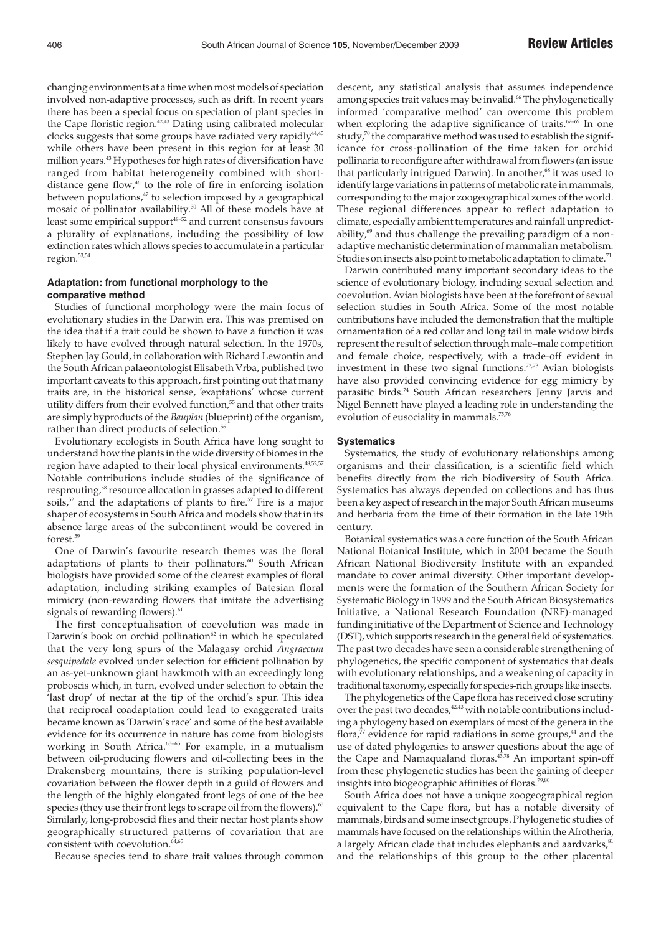changing environments at a time when most models of speciation involved non-adaptive processes, such as drift. In recent years there has been a special focus on speciation of plant species in the Cape floristic region.<sup>42,43</sup> Dating using calibrated molecular clocks suggests that some groups have radiated very rapidly $44,45$ while others have been present in this region for at least 30 million years.43 Hypotheses for high rates of diversification have ranged from habitat heterogeneity combined with shortdistance gene flow,<sup>46</sup> to the role of fire in enforcing isolation between populations,<sup>47</sup> to selection imposed by a geographical mosaic of pollinator availability.<sup>30</sup> All of these models have at least some empirical support<sup>48-52</sup> and current consensus favours a plurality of explanations, including the possibility of low extinction rates which allows species to accumulate in a particular region.53,54

# **Adaptation: from functional morphology to the comparative method**

Studies of functional morphology were the main focus of evolutionary studies in the Darwin era. This was premised on the idea that if a trait could be shown to have a function it was likely to have evolved through natural selection. In the 1970s, Stephen Jay Gould, in collaboration with Richard Lewontin and the South African palaeontologist Elisabeth Vrba, published two important caveats to this approach, first pointing out that many traits are, in the historical sense, 'exaptations' whose current utility differs from their evolved function,<sup>55</sup> and that other traits are simply byproducts of the *Bauplan* (blueprint) of the organism, rather than direct products of selection.<sup>56</sup>

Evolutionary ecologists in South Africa have long sought to understand how the plants in the wide diversity of biomes in the region have adapted to their local physical environments.<sup>48,52,57</sup> Notable contributions include studies of the significance of resprouting,58 resource allocation in grasses adapted to different soils, $52$  and the adaptations of plants to fire. $57$  Fire is a major shaper of ecosystems in South Africa and models show that in its absence large areas of the subcontinent would be covered in forest.<sup>59</sup>

One of Darwin's favourite research themes was the floral adaptations of plants to their pollinators. $60$  South African biologists have provided some of the clearest examples of floral adaptation, including striking examples of Batesian floral mimicry (non-rewarding flowers that imitate the advertising signals of rewarding flowers).<sup>61</sup>

The first conceptualisation of coevolution was made in Darwin's book on orchid pollination $62$  in which he speculated that the very long spurs of the Malagasy orchid *Angraecum sesquipedale* evolved under selection for efficient pollination by an as-yet-unknown giant hawkmoth with an exceedingly long proboscis which, in turn, evolved under selection to obtain the 'last drop' of nectar at the tip of the orchid's spur. This idea that reciprocal coadaptation could lead to exaggerated traits became known as 'Darwin's race' and some of the best available evidence for its occurrence in nature has come from biologists working in South Africa.<sup>63-65</sup> For example, in a mutualism between oil-producing flowers and oil-collecting bees in the Drakensberg mountains, there is striking population-level covariation between the flower depth in a guild of flowers and the length of the highly elongated front legs of one of the bee species (they use their front legs to scrape oil from the flowers).<sup>63</sup> Similarly, long-proboscid flies and their nectar host plants show geographically structured patterns of covariation that are consistent with coevolution.<sup>64,65</sup>

Because species tend to share trait values through common

descent, any statistical analysis that assumes independence among species trait values may be invalid.<sup>66</sup> The phylogenetically informed 'comparative method' can overcome this problem when exploring the adaptive significance of traits. $67-69$  In one study, $70$  the comparative method was used to establish the significance for cross-pollination of the time taken for orchid pollinaria to reconfigure after withdrawal from flowers (an issue that particularly intrigued Darwin). In another,<sup>68</sup> it was used to identify large variations in patterns of metabolic rate in mammals, corresponding to the major zoogeographical zones of the world. These regional differences appear to reflect adaptation to climate, especially ambient temperatures and rainfall unpredictability, $69$  and thus challenge the prevailing paradigm of a nonadaptive mechanistic determination of mammalian metabolism. Studies on insects also point to metabolic adaptation to climate.<sup>71</sup>

Darwin contributed many important secondary ideas to the science of evolutionary biology, including sexual selection and coevolution. Avian biologists have been at the forefront of sexual selection studies in South Africa. Some of the most notable contributions have included the demonstration that the multiple ornamentation of a red collar and long tail in male widow birds represent the result of selection through male–male competition and female choice, respectively, with a trade-off evident in investment in these two signal functions.<sup>72,73</sup> Avian biologists have also provided convincing evidence for egg mimicry by parasitic birds.74 South African researchers Jenny Jarvis and Nigel Bennett have played a leading role in understanding the evolution of eusociality in mammals.<sup>75,76</sup>

#### **Systematics**

Systematics, the study of evolutionary relationships among organisms and their classification, is a scientific field which benefits directly from the rich biodiversity of South Africa. Systematics has always depended on collections and has thus been a key aspect of research in the major South African museums and herbaria from the time of their formation in the late 19th century.

Botanical systematics was a core function of the South African National Botanical Institute, which in 2004 became the South African National Biodiversity Institute with an expanded mandate to cover animal diversity. Other important developments were the formation of the Southern African Society for Systematic Biology in 1999 and the South African Biosystematics Initiative, a National Research Foundation (NRF)-managed funding initiative of the Department of Science and Technology (DST), which supports research in the general field of systematics. The past two decades have seen a considerable strengthening of phylogenetics, the specific component of systematics that deals with evolutionary relationships, and a weakening of capacity in traditional taxonomy, especially for species-rich groups like insects.

The phylogenetics of the Cape flora has received close scrutiny over the past two decades,<sup>42,43</sup> with notable contributions including a phylogeny based on exemplars of most of the genera in the flora, $\frac{77}{7}$  evidence for rapid radiations in some groups, $\frac{44}{7}$  and the use of dated phylogenies to answer questions about the age of the Cape and Namaqualand floras.43,78 An important spin-off from these phylogenetic studies has been the gaining of deeper insights into biogeographic affinities of floras.79,80

South Africa does not have a unique zoogeographical region equivalent to the Cape flora, but has a notable diversity of mammals, birds and some insect groups. Phylogenetic studies of mammals have focused on the relationships within the Afrotheria, a largely African clade that includes elephants and aardvarks,<sup>81</sup> and the relationships of this group to the other placental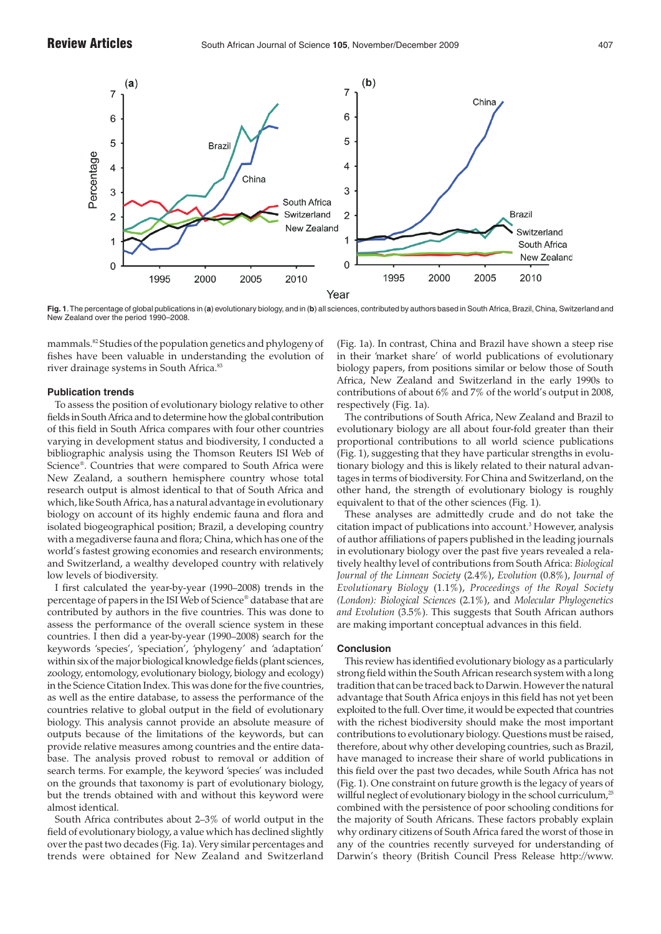

Year

**Fig. 1**.The percentage of global publications in (**a**) evolutionary biology, and in (**b**) all sciences, contributed by authors based in South Africa, Brazil, China, Switzerland and New Zealand over the period 1990–2008.

mammals.82 Studies of the population genetics and phylogeny of fishes have been valuable in understanding the evolution of river drainage systems in South Africa.<sup>83</sup>

# **Publication trends**

To assess the position of evolutionary biology relative to other fields in South Africa and to determine how the global contribution of this field in South Africa compares with four other countries varying in development status and biodiversity, I conducted a bibliographic analysis using the Thomson Reuters ISI Web of Science®. Countries that were compared to South Africa were New Zealand, a southern hemisphere country whose total research output is almost identical to that of South Africa and which, like South Africa, has a natural advantage in evolutionary biology on account of its highly endemic fauna and flora and isolated biogeographical position; Brazil, a developing country with a megadiverse fauna and flora; China, which has one of the world's fastest growing economies and research environments; and Switzerland, a wealthy developed country with relatively low levels of biodiversity.

I first calculated the year-by-year (1990–2008) trends in the percentage of papers in the ISI Web of Science® database that are contributed by authors in the five countries. This was done to assess the performance of the overall science system in these countries. I then did a year-by-year (1990–2008) search for the keywords 'species', 'speciation', 'phylogeny' and 'adaptation' within six of the major biological knowledge fields (plant sciences, zoology, entomology, evolutionary biology, biology and ecology) in the Science Citation Index. This was done for the five countries, as well as the entire database, to assess the performance of the countries relative to global output in the field of evolutionary biology. This analysis cannot provide an absolute measure of outputs because of the limitations of the keywords, but can provide relative measures among countries and the entire database. The analysis proved robust to removal or addition of search terms. For example, the keyword 'species' was included on the grounds that taxonomy is part of evolutionary biology, but the trends obtained with and without this keyword were almost identical.

South Africa contributes about 2–3% of world output in the field of evolutionary biology, a value which has declined slightly over the past two decades (Fig. 1a). Very similar percentages and trends were obtained for New Zealand and Switzerland

(Fig. 1a). In contrast, China and Brazil have shown a steep rise in their 'market share' of world publications of evolutionary biology papers, from positions similar or below those of South Africa, New Zealand and Switzerland in the early 1990s to contributions of about 6% and 7% of the world's output in 2008, respectively (Fig. 1a).

The contributions of South Africa, New Zealand and Brazil to evolutionary biology are all about four-fold greater than their proportional contributions to all world science publications (Fig. 1), suggesting that they have particular strengths in evolutionary biology and this is likely related to their natural advantages in terms of biodiversity. For China and Switzerland, on the other hand, the strength of evolutionary biology is roughly equivalent to that of the other sciences (Fig. 1).

These analyses are admittedly crude and do not take the citation impact of publications into account.<sup>3</sup> However, analysis of author affiliations of papers published in the leading journals in evolutionary biology over the past five years revealed a relatively healthy level of contributions from South Africa: *Biological Journal of the Linnean Society* (2.4%), *Evolution* (0.8%), *Journal of Evolutionary Biology* (1.1%), *Proceedings of the Royal Society (London): Biological Sciences* (2.1%), and *Molecular Phylogenetics and Evolution* (3.5%). This suggests that South African authors are making important conceptual advances in this field.

# **Conclusion**

This review has identified evolutionary biology as a particularly strong field within the South African research system with a long tradition that can be traced back to Darwin. However the natural advantage that South Africa enjoys in this field has not yet been exploited to the full. Over time, it would be expected that countries with the richest biodiversity should make the most important contributions to evolutionary biology. Questions must be raised, therefore, about why other developing countries, such as Brazil, have managed to increase their share of world publications in this field over the past two decades, while South Africa has not (Fig. 1). One constraint on future growth is the legacy of years of willful neglect of evolutionary biology in the school curriculum, $^{25}$ combined with the persistence of poor schooling conditions for the majority of South Africans. These factors probably explain why ordinary citizens of South Africa fared the worst of those in any of the countries recently surveyed for understanding of Darwin's theory (British Council Press Release http://www.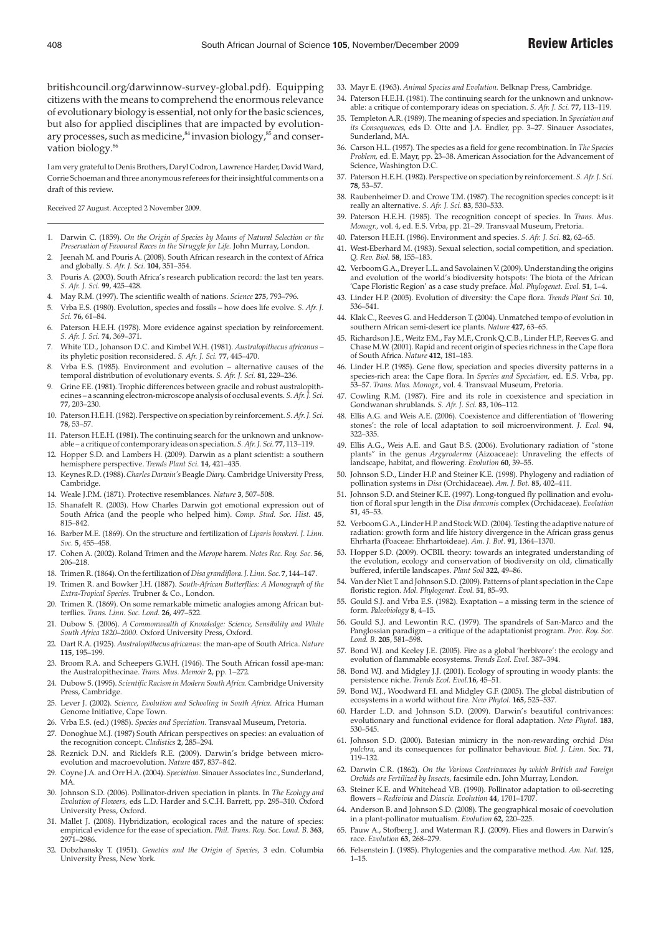britishcouncil.org/darwinnow-survey-global.pdf). Equipping citizens with the means to comprehend the enormous relevance of evolutionary biology is essential, not only for the basic sciences, but also for applied disciplines that are impacted by evolutionary processes, such as medicine, $84$  invasion biology, $85$  and conservation biology.<sup>86</sup>

I am very grateful to Denis Brothers, Daryl Codron, Lawrence Harder, David Ward, Corrie Schoeman and three anonymous referees for their insightful comments on a draft of this review.

Received 27 August. Accepted 2 November 2009.

- 1. Darwin C. (1859). *On the Origin of Species by Means of Natural Selection or the Preservation of Favoured Races in the Struggle for Life.* John Murray, London.
- Jeenah M. and Pouris A. (2008). South African research in the context of Africa and globally. *S. Afr. J. Sci.* **104**, 351–354.
- 3. Pouris A. (2003). South Africa's research publication record: the last ten years. *S. Afr. J. Sci.* **99**, 425–428.
- 4. May R.M. (1997). The scientific wealth of nations. *Science* **275**, 793–796.
- 5. Vrba E.S. (1980). Evolution, species and fossils how does life evolve. *S. Afr. J. Sci.* **76**, 61–84.
- 6. Paterson H.E.H. (1978). More evidence against speciation by reinforcement. *S. Afr. J. Sci.* **74**, 369–371.
- 7. White T.D., Johanson D.C. and Kimbel W.H. (1981). *Australopithecus africanus* its phyletic position reconsidered. *S. Afr. J. Sci.* **77**, 445–470.
- 8. Vrba E.S. (1985). Environment and evolution alternative causes of the temporal distribution of evolutionary events. *S. Afr. J. Sci.* **81**, 229–236.
- 9. Grine F.E. (1981). Trophic differences between gracile and robust australopithecines – a scanning electron-microscope analysis of occlusal events. *S. Afr. J. Sci.* **77**, 203–230.
- 10. Paterson H.E.H. (1982). Perspective on speciation by reinforcement. *S. Afr. J. Sci.* **78**, 53–57.
- 11. Paterson H.E.H. (1981). The continuing search for the unknown and unknowable – a critique of contemporary ideas on speciation. *S. Afr. J. Sci.* **77**, 113–119.
- 12. Hopper S.D. and Lambers H. (2009). Darwin as a plant scientist: a southern hemisphere perspective. *Trends Plant Sci.* **14**, 421–435.
- 13. Keynes R.D. (1988). *Charles Darwin's* Beagle *Diary.* Cambridge University Press, Cambridge.
- 14. Weale J.P.M. (1871). Protective resemblances. *Nature* **3**, 507–508.
- 15. Shanafelt R. (2003). How Charles Darwin got emotional expression out of South Africa (and the people who helped him). *Comp. Stud. Soc. Hist.* **45**, 815–842.
- 16. Barber M.E. (1869). On the structure and fertilization of *Liparis bowkeri. J. Linn. Soc.* **5**, 455–458.
- 17. Cohen A. (2002). Roland Trimen and the *Merope* harem. *Notes Rec. Roy. Soc.* **56**, 206–218.
- 18. Trimen R. (1864). On the fertilization of*Disa grandiflora. J. Linn. Soc.* **7**, 144–147.
- 19. Trimen R. and Bowker J.H. (1887). *South-African Butterflies: A Monograph of the Extra-Tropical Species.* Trubner & Co., London.
- 20. Trimen R. (1869). On some remarkable mimetic analogies among African butterflies. *Trans. Linn. Soc. Lond.* **26**, 497–522.
- 21. Dubow S. (2006). *A Commonwealth of Knowledge: Science, Sensibility and White South Africa 1820–2000.* Oxford University Press, Oxford.
- 22. Dart R.A. (1925). *Australopithecus africanus:* the man-ape of South Africa. *Nature* **115**, 195–199.
- 23. Broom R.A. and Scheepers G.W.H. (1946). The South African fossil ape-man: the Australopithecinae. *Trans. Mus. Memoir* **2**, pp. 1–272.
- 24. Dubow S. (1995). *Scientific Racism in Modern South Africa.* Cambridge University Press, Cambridge.
- 25. Lever J. (2002). *Science, Evolution and Schooling in South Africa.* Africa Human Genome Initiative, Cape Town.
- 26. Vrba E.S. (ed.) (1985). *Species and Speciation.* Transvaal Museum, Pretoria.
- 27. Donoghue M.J. (1987) South African perspectives on species: an evaluation of the recognition concept. *Cladistics* **2**, 285–294.
- Reznick D.N. and Ricklefs R.E. (2009). Darwin's bridge between microevolution and macroevolution. *Nature* **457**, 837–842.
- 29. Coyne J.A. and Orr H.A. (2004). *Speciation.* Sinauer Associates Inc., Sunderland, MA.
- 30. Johnson S.D. (2006). Pollinator-driven speciation in plants. In *The Ecology and Evolution of Flowers,* eds L.D. Harder and S.C.H. Barrett, pp. 295–310. Oxford University Press, Oxford.
- 31. Mallet J. (2008). Hybridization, ecological races and the nature of species: empirical evidence for the ease of speciation. *Phil. Trans. Roy. Soc. Lond. B.* **363**, 2971–2986.
- 32. Dobzhansky T. (1951). *Genetics and the Origin of Species,* 3 edn. Columbia University Press, New York.
- 33. Mayr E. (1963). *Animal Species and Evolution.* Belknap Press, Cambridge.
- 34. Paterson H.E.H. (1981). The continuing search for the unknown and unknowable: a critique of contemporary ideas on speciation. *S. Afr. J. Sci.* **77**, 113–119.
- 35. Templeton A.R. (1989). The meaning of species and speciation. In *Speciation and its Consequences,* eds D. Otte and J.A. Endler, pp. 3–27. Sinauer Associates, Sunderland, MA.
- 36. Carson H.L. (1957). The species as a field for gene recombination. In *The Species Problem,* ed. E. Mayr, pp. 23–38. American Association for the Advancement of Science, Washington D.C.
- 37. Paterson H.E.H. (1982). Perspective on speciation by reinforcement. *S. Afr. J. Sci.* **78**, 53–57.
- 38. Raubenheimer D. and Crowe T.M. (1987). The recognition species concept: is it really an alternative. *S. Afr. J. Sci.* **83**, 530–533.
- 39. Paterson H.E.H. (1985). The recognition concept of species. In *Trans. Mus. Monogr.,* vol. 4, ed. E.S. Vrba, pp. 21–29. Transvaal Museum, Pretoria.
- 40. Paterson H.E.H. (1986). Environment and species. *S. Afr. J. Sci.* **82**, 62–65.
- 41. West-Eberhard M. (1983). Sexual selection, social competition, and speciation. *Q. Rev. Biol.* **58**, 155–183.
- 42. Verboom G.A., Dreyer L.L. and Savolainen V. (2009). Understanding the origins and evolution of the world's biodiversity hotspots: The biota of the African 'Cape Floristic Region' as a case study preface. *Mol. Phylogenet. Evol.* **51**, 1–4.
- 43. Linder H.P. (2005). Evolution of diversity: the Cape flora. *Trends Plant Sci.* **10**, 536–541.
- 44. Klak C., Reeves G. and Hedderson T. (2004). Unmatched tempo of evolution in southern African semi-desert ice plants. *Nature* **427**, 63–65.
- 45. Richardson J.E., Weitz F.M., Fay M.F., Cronk Q.C.B., Linder H.P., Reeves G. and Chase M.W. (2001). Rapid and recent origin of species richness in the Cape flora of South Africa. *Nature* **412**, 181–183.
- 46. Linder H.P. (1985). Gene flow, speciation and species diversity patterns in a species-rich area: the Cape flora. In *Species and Speciation,* ed. E.S. Vrba, pp. 53–57. *Trans. Mus. Monogr.*, vol. 4. Transvaal Museum, Pretoria.
- 47. Cowling R.M. (1987). Fire and its role in coexistence and speciation in Gondwanan shrublands. *S. Afr. J. Sci.* **83**, 106–112.
- 48. Ellis A.G. and Weis A.E. (2006). Coexistence and differentiation of 'flowering stones': the role of local adaptation to soil microenvironment. *J. Ecol.* **94**, 322–335.
- 49. Ellis A.G., Weis A.E. and Gaut B.S. (2006). Evolutionary radiation of "stone plants" in the genus *Argyroderma* (Aizoaceae): Unraveling the effects of landscape, habitat, and flowering. *Evolution* **60**, 39–55.
- 50. Johnson S.D., Linder H.P. and Steiner K.E. (1998). Phylogeny and radiation of pollination systems in *Disa* (Orchidaceae). *Am. J. Bot.* **85**, 402–411.
- 51. Johnson S.D. and Steiner K.E. (1997). Long-tongued fly pollination and evolution of floral spur length in the *Disa draconis* complex (Orchidaceae). *Evolution* **51**, 45–53.
- 52. Verboom G.A., Linder H.P. and Stock W.D. (2004). Testing the adaptive nature of radiation: growth form and life history divergence in the African grass genus Ehrharta (Poaceae: Ehrhartoideae). *Am. J. Bot.* **91**, 1364–1370.
- 53. Hopper S.D. (2009). OCBIL theory: towards an integrated understanding of the evolution, ecology and conservation of biodiversity on old, climatically buffered, infertile landscapes. *Plant Soil* **322**, 49–86.
- 54. Van der Niet T. and Johnson S.D. (2009). Patterns of plant speciation in the Cape floristic region. *Mol. Phylogenet. Evol.* **51**, 85–93.
- 55. Gould S.J. and Vrba E.S. (1982). Exaptation a missing term in the science of form. *Paleobiology* **8**, 4–15.
- 56. Gould S.J. and Lewontin R.C. (1979). The spandrels of San-Marco and the Panglossian paradigm – a critique of the adaptationist program. *Proc. Roy. Soc. Lond. B.* **205**, 581–598.
- 57. Bond W.J. and Keeley J.E. (2005). Fire as a global 'herbivore': the ecology and evolution of flammable ecosystems. *Trends Ecol. Evol.* 387–394.
- 58. Bond W.J. and Midgley J.J. (2001). Ecology of sprouting in woody plants: the persistence niche. *Trends Ecol. Evol.***16**, 45–51.
- 59. Bond W.J., Woodward F.I. and Midgley G.F. (2005). The global distribution of ecosystems in a world without fire. *New Phytol.* **165**, 525–537.
- 60. Harder L.D. and Johnson S.D. (2009). Darwin's beautiful contrivances: evolutionary and functional evidence for floral adaptation. *New Phytol.* **183**, 530–545.
- 61. Johnson S.D. (2000). Batesian mimicry in the non-rewarding orchid *Disa pulchra,* and its consequences for pollinator behaviour. *Biol. J. Linn. Soc.* **71**, 119–132.
- 62. Darwin C.R. (1862). *On the Various Contrivances by which British and Foreign Orchids are Fertilized by Insects,* facsimile edn. John Murray, London.
- 63. Steiner K.E. and Whitehead V.B. (1990). Pollinator adaptation to oil-secreting flowers – *Redivivia* and *Diascia. Evolution* **44**, 1701–1707.
- 64. Anderson B. and Johnson S.D. (2008). The geographical mosaic of coevolution in a plant-pollinator mutualism. *Evolution* **62**, 220–225.
- 65. Pauw A., Stofberg J. and Waterman R.J. (2009). Flies and flowers in Darwin's race. *Evolution* **63**, 268–279.
- 66. Felsenstein J. (1985). Phylogenies and the comparative method. *Am. Nat.* **125**, 1–15.